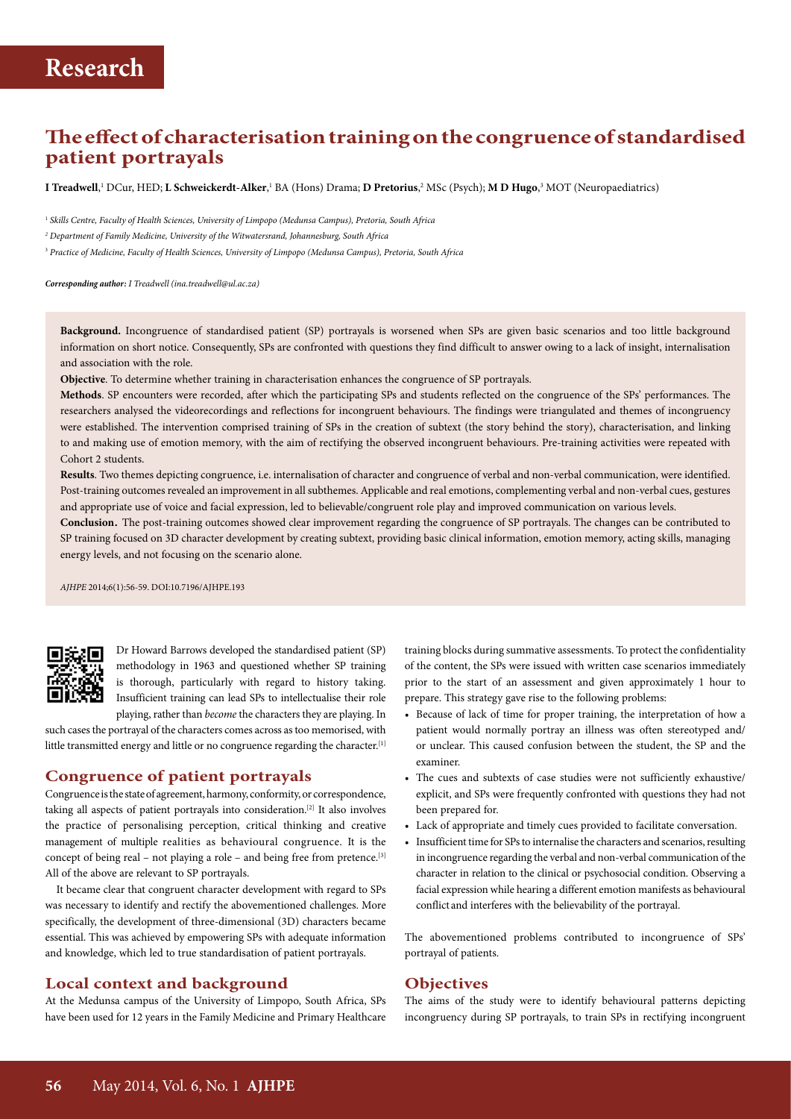## **The effect of characterisation training on the congruence of standardised patient portrayals**

**I Treadwell**,' DCur, HED; **L Schweickerdt-Alker**,' BA (Hons) Drama; **D Pretorius,**? MSc (Psych); **M D Hugo**,3 MOT (Neuropaediatrics)

<sup>1</sup> *Skills Centre, Faculty of Health Sciences, University of Limpopo (Medunsa Campus), Pretoria, South Africa*

*<sup>2</sup> Department of Family Medicine, University of the Witwatersrand, Johannesburg, South Africa*

<sup>3</sup> *Practice of Medicine, Faculty of Health Sciences, University of Limpopo (Medunsa Campus), Pretoria, South Africa*

*Corresponding author: I Treadwell [\(ina.treadwell@ul.ac.za\)](mailto:ina.treadwell@ul.ac.za)*

**Background.** Incongruence of standardised patient (SP) portrayals is worsened when SPs are given basic scenarios and too little background information on short notice. Consequently, SPs are confronted with questions they find difficult to answer owing to a lack of insight, internalisation and association with the role.

**Objective**. To determine whether training in characterisation enhances the congruence of SP portrayals.

**Methods**. SP encounters were recorded, after which the participating SPs and students reflected on the congruence of the SPs' performances. The researchers analysed the videorecordings and reflections for incongruent behaviours. The findings were triangulated and themes of incongruency were established. The intervention comprised training of SPs in the creation of subtext (the story behind the story), characterisation, and linking to and making use of emotion memory, with the aim of rectifying the observed incongruent behaviours. Pre-training activities were repeated with Cohort 2 students.

**Results**. Two themes depicting congruence, i.e. internalisation of character and congruence of verbal and non-verbal communication, were identified. Post-training outcomes revealed an improvement in all subthemes. Applicable and real emotions, complementing verbal and non-verbal cues, gestures and appropriate use of voice and facial expression, led to believable/congruent role play and improved communication on various levels.

**Conclusion**. The post-training outcomes showed clear improvement regarding the congruence of SP portrayals. The changes can be contributed to SP training focused on 3D character development by creating subtext, providing basic clinical information, emotion memory, acting skills, managing energy levels, and not focusing on the scenario alone.

*AJHPE* 2014;6(1):56-59. DOI:10.7196/AJHPE.193



Dr Howard Barrows developed the standardised patient (SP) methodology in 1963 and questioned whether SP training is thorough, particularly with regard to history taking. Insufficient training can lead SPs to intellectualise their role playing, rather than *become* the characters they are playing. In

such cases the portrayal of the characters comes across as too memorised, with little transmitted energy and little or no congruence regarding the character.<sup>[1]</sup>

#### **Congruence of patient portrayals**

Congruence is the state of agreement, harmony, conformity, or correspondence, taking all aspects of patient portrayals into consideration.[2] It also involves the practice of personalising perception, critical thinking and creative management of multiple realities as behavioural congruence. It is the concept of being real – not playing a role – and being free from pretence.[3] All of the above are relevant to SP portrayals.

It became clear that congruent character development with regard to SPs was necessary to identify and rectify the abovementioned challenges. More specifically, the development of three-dimensional (3D) characters became essential. This was achieved by empowering SPs with adequate information and knowledge, which led to true standardisation of patient portrayals.

#### **Local context and background**

At the Medunsa campus of the University of Limpopo, South Africa, SPs have been used for 12 years in the Family Medicine and Primary Healthcare

training blocks during summative assessments. To protect the confidentiality of the content, the SPs were issued with written case scenarios immediately prior to the start of an assessment and given approximately 1 hour to prepare. This strategy gave rise to the following problems:

- Because of lack of time for proper training, the interpretation of how a patient would normally portray an illness was often stereotyped and/ or unclear. This caused confusion between the student, the SP and the examiner.
- The cues and subtexts of case studies were not sufficiently exhaustive/ explicit, and SPs were frequently confronted with questions they had not been prepared for.
- Lack of appropriate and timely cues provided to facilitate conversation.
- Insufficient time for SPs to internalise the characters and scenarios, resulting in incongruence regarding the verbal and non-verbal communication of the character in relation to the clinical or psychosocial condition. Observing a facial expression while hearing a different emotion manifests as behavioural conflict and interferes with the believability of the portrayal.

The abovementioned problems contributed to incongruence of SPs' portrayal of patients.

#### **Objectives**

The aims of the study were to identify behavioural patterns depicting incongruency during SP portrayals, to train SPs in rectifying incongruent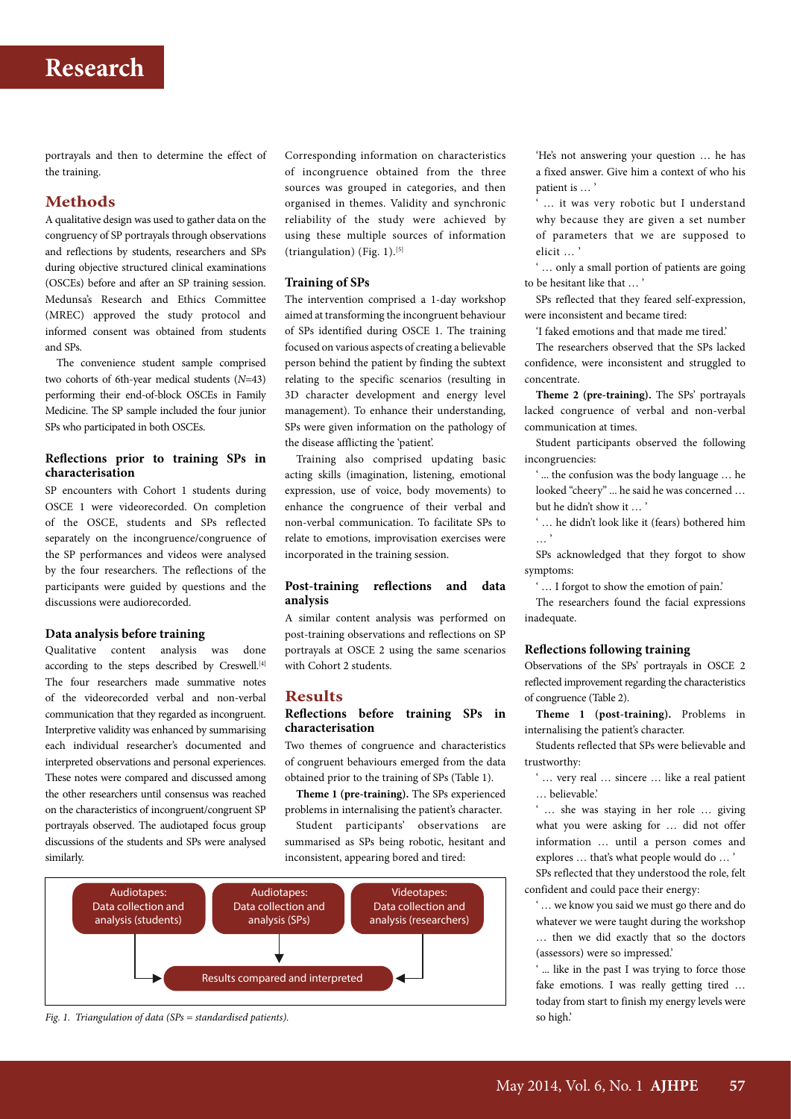portrayals and then to determine the effect of the training.

### **Methods**

A qualitative design was used to gather data on the congruency of SP portrayals through observations and reflections by students, researchers and SPs during objective structured clinical examinations (OSCEs) before and after an SP training session. Medunsa's Research and Ethics Committee (MREC) approved the study protocol and informed consent was obtained from students and SPs.

The convenience student sample comprised two cohorts of 6th-year medical students (*N*=43) performing their end-of-block OSCEs in Family Medicine. The SP sample included the four junior SPs who participated in both OSCEs.

#### **Reflections prior to training SPs in characterisation**

SP encounters with Cohort 1 students during OSCE 1 were videorecorded. On completion of the OSCE, students and SPs reflected separately on the incongruence/congruence of the SP performances and videos were analysed by the four researchers. The reflections of the participants were guided by questions and the discussions were audiorecorded.

#### **Data analysis before training**

Qualitative content analysis was done according to the steps described by Creswell.<sup>[4]</sup> The four researchers made summative notes of the videorecorded verbal and non-verbal communication that they regarded as incongruent. Interpretive validity was enhanced by summarising each individual researcher's documented and interpreted observations and personal experiences. These notes were compared and discussed among the other researchers until consensus was reached on the characteristics of incongruent/congruent SP portrayals observed. The audiotaped focus group discussions of the students and SPs were analysed similarly.

Corresponding information on characteristics of incongruence obtained from the three sources was grouped in categories, and then organised in themes. Validity and synchronic reliability of the study were achieved by using these multiple sources of information (triangulation) (Fig. 1).[5]

#### **Training of SPs**

The intervention comprised a 1-day workshop aimed at transforming the incongruent behaviour of SPs identified during OSCE 1. The training focused on various aspects of creating a believable person behind the patient by finding the subtext relating to the specific scenarios (resulting in 3D character development and energy level management). To enhance their understanding, SPs were given information on the pathology of the disease afflicting the 'patient'.

Training also comprised updating basic acting skills (imagination, listening, emotional expression, use of voice, body movements) to enhance the congruence of their verbal and non-verbal communication. To facilitate SPs to relate to emotions, improvisation exercises were incorporated in the training session.

#### **Post-training reflections and data analysis**

A similar content analysis was performed on post-training observations and reflections on SP portrayals at OSCE 2 using the same scenarios with Cohort 2 students.

#### **Results**

#### **Reflections before training SPs in characterisation**

Two themes of congruence and characteristics of congruent behaviours emerged from the data obtained prior to the training of SPs (Table 1).

**Theme 1 (pre-training).** The SPs experienced problems in internalising the patient's character.

Student participants' observations are summarised as SPs being robotic, hesitant and inconsistent, appearing bored and tired:



*Fig. 1. Triangulation of data (SPs = standardised patients).*

'He's not answering your question … he has a fixed answer. Give him a context of who his patient is … '

... it was very robotic but I understand why because they are given a set number of parameters that we are supposed to elicit … '

... only a small portion of patients are going to be hesitant like that … '

SPs reflected that they feared self-expression, were inconsistent and became tired:

'I faked emotions and that made me tired.'

The researchers observed that the SPs lacked confidence, were inconsistent and struggled to concentrate.

**Theme 2 (pre-training).** The SPs' portrayals lacked congruence of verbal and non-verbal communication at times.

Student participants observed the following incongruencies:

' ... the confusion was the body language … he looked "cheery" ... he said he was concerned … but he didn't show it ... '

' … he didn't look like it (fears) bothered him

SPs acknowledged that they forgot to show symptoms:

' … I forgot to show the emotion of pain.'

The researchers found the facial expressions inadequate.

#### **Reflections following training**

Observations of the SPs' portrayals in OSCE 2 reflected improvement regarding the characteristics of congruence (Table 2).

**Theme 1 (post-training).** Problems in internalising the patient's character.

Students reflected that SPs were believable and trustworthy:

' … very real … sincere … like a real patient … believable.'

' … she was staying in her role … giving what you were asking for … did not offer information … until a person comes and explores … that's what people would do … '

SPs reflected that they understood the role, felt confident and could pace their energy:

' … we know you said we must go there and do whatever we were taught during the workshop … then we did exactly that so the doctors (assessors) were so impressed.'

... like in the past I was trying to force those fake emotions. I was really getting tired … today from start to finish my energy levels were so high.'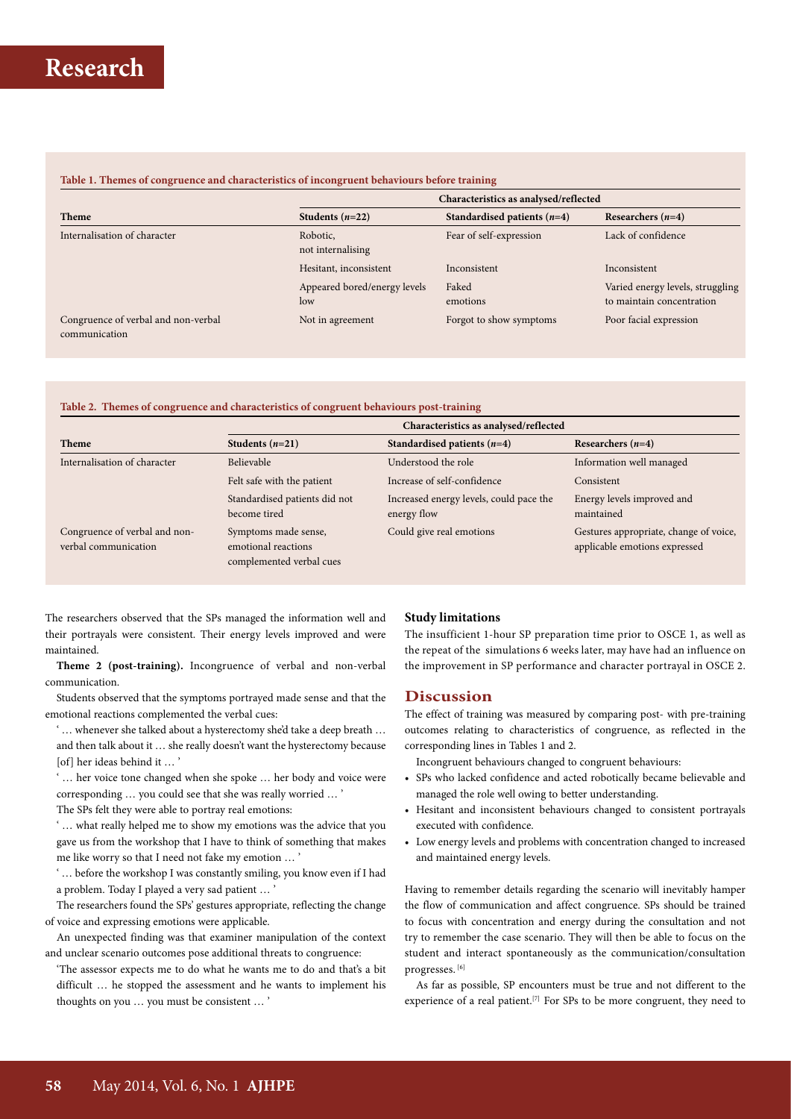#### **Table 1. Themes of congruence and characteristics of incongruent behaviours before training**

|                                                      | Characteristics as analysed/reflected |                               |                                                               |  |
|------------------------------------------------------|---------------------------------------|-------------------------------|---------------------------------------------------------------|--|
| <b>Theme</b>                                         | Students $(n=22)$                     | Standardised patients $(n=4)$ | Researchers $(n=4)$                                           |  |
| Internalisation of character                         | Robotic,<br>not internalising         | Fear of self-expression       | Lack of confidence                                            |  |
|                                                      | Hesitant, inconsistent                | Inconsistent                  | Inconsistent                                                  |  |
|                                                      | Appeared bored/energy levels<br>low   | Faked<br>emotions             | Varied energy levels, struggling<br>to maintain concentration |  |
| Congruence of verbal and non-verbal<br>communication | Not in agreement                      | Forgot to show symptoms       | Poor facial expression                                        |  |

#### **Table 2. Themes of congruence and characteristics of congruent behaviours post-training**

|                                                       | Characteristics as analysed/reflected                                   |                                                        |                                                                         |
|-------------------------------------------------------|-------------------------------------------------------------------------|--------------------------------------------------------|-------------------------------------------------------------------------|
| <b>Theme</b>                                          | Students $(n=21)$                                                       | Standardised patients $(n=4)$                          | Researchers $(n=4)$                                                     |
| Internalisation of character                          | Believable                                                              | Understood the role                                    | Information well managed                                                |
|                                                       | Felt safe with the patient                                              | Increase of self-confidence                            | Consistent                                                              |
|                                                       | Standardised patients did not<br>become tired                           | Increased energy levels, could pace the<br>energy flow | Energy levels improved and<br>maintained                                |
| Congruence of verbal and non-<br>verbal communication | Symptoms made sense,<br>emotional reactions<br>complemented verbal cues | Could give real emotions                               | Gestures appropriate, change of voice,<br>applicable emotions expressed |

The researchers observed that the SPs managed the information well and their portrayals were consistent. Their energy levels improved and were maintained.

**Theme 2 (post-training).** Incongruence of verbal and non-verbal communication.

Students observed that the symptoms portrayed made sense and that the emotional reactions complemented the verbal cues:

- ' … whenever she talked about a hysterectomy she'd take a deep breath … and then talk about it … she really doesn't want the hysterectomy because [of] her ideas behind it … '
- ' … her voice tone changed when she spoke … her body and voice were corresponding … you could see that she was really worried … '

The SPs felt they were able to portray real emotions:

' … what really helped me to show my emotions was the advice that you gave us from the workshop that I have to think of something that makes me like worry so that I need not fake my emotion … '

' … before the workshop I was constantly smiling, you know even if I had a problem. Today I played a very sad patient ...

The researchers found the SPs' gestures appropriate, reflecting the change of voice and expressing emotions were applicable.

An unexpected finding was that examiner manipulation of the context and unclear scenario outcomes pose additional threats to congruence:

'The assessor expects me to do what he wants me to do and that's a bit difficult … he stopped the assessment and he wants to implement his thoughts on you … you must be consistent … '

#### **Study limitations**

The insufficient 1-hour SP preparation time prior to OSCE 1, as well as the repeat of the simulations 6 weeks later, may have had an influence on the improvement in SP performance and character portrayal in OSCE 2.

#### **Discussion**

The effect of training was measured by comparing post- with pre-training outcomes relating to characteristics of congruence, as reflected in the corresponding lines in Tables 1 and 2.

Incongruent behaviours changed to congruent behaviours:

- SPs who lacked confidence and acted robotically became believable and managed the role well owing to better understanding.
- Hesitant and inconsistent behaviours changed to consistent portrayals executed with confidence.
- Low energy levels and problems with concentration changed to increased and maintained energy levels.

Having to remember details regarding the scenario will inevitably hamper the flow of communication and affect congruence. SPs should be trained to focus with concentration and energy during the consultation and not try to remember the case scenario. They will then be able to focus on the student and interact spontaneously as the communication/consultation progresses. [6]

As far as possible, SP encounters must be true and not different to the experience of a real patient.<sup>[7]</sup> For SPs to be more congruent, they need to